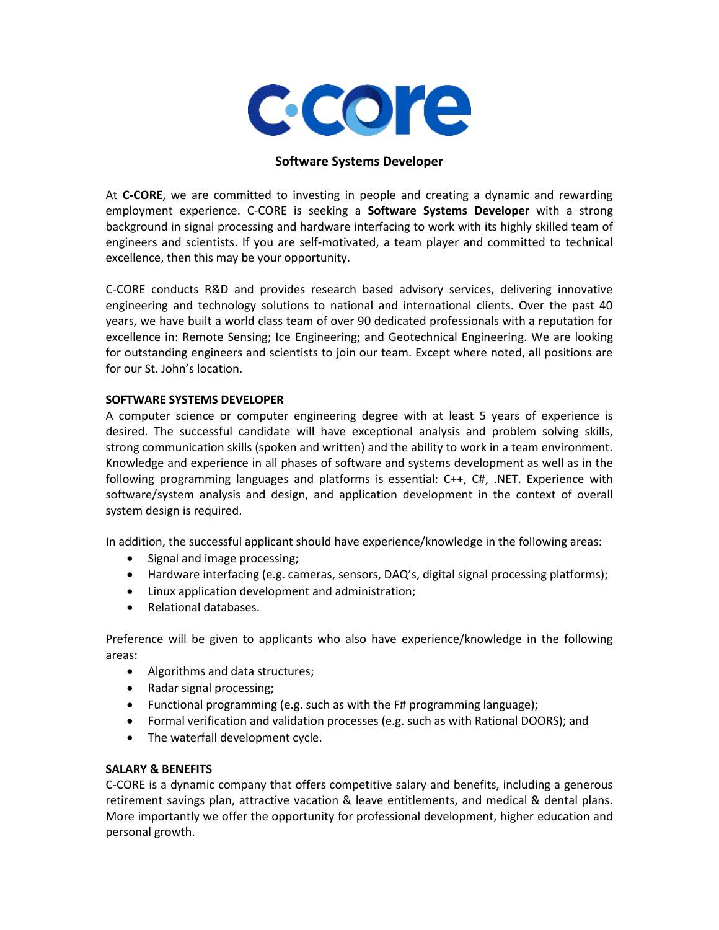

# **Software Systems Developer**

At **C-CORE**, we are committed to investing in people and creating a dynamic and rewarding employment experience. C-CORE is seeking a **Software Systems Developer** with a strong background in signal processing and hardware interfacing to work with its highly skilled team of engineers and scientists. If you are self-motivated, a team player and committed to technical excellence, then this may be your opportunity.

C-CORE conducts R&D and provides research based advisory services, delivering innovative engineering and technology solutions to national and international clients. Over the past 40 years, we have built a world class team of over 90 dedicated professionals with a reputation for excellence in: Remote Sensing; Ice Engineering; and Geotechnical Engineering. We are looking for outstanding engineers and scientists to join our team. Except where noted, all positions are for our St. John's location.

## **SOFTWARE SYSTEMS DEVELOPER**

A computer science or computer engineering degree with at least 5 years of experience is desired. The successful candidate will have exceptional analysis and problem solving skills, strong communication skills (spoken and written) and the ability to work in a team environment. Knowledge and experience in all phases of software and systems development as well as in the following programming languages and platforms is essential: C++, C#, .NET. Experience with software/system analysis and design, and application development in the context of overall system design is required.

In addition, the successful applicant should have experience/knowledge in the following areas:

- Signal and image processing;
- Hardware interfacing (e.g. cameras, sensors, DAQ's, digital signal processing platforms);
- Linux application development and administration;
- Relational databases.

Preference will be given to applicants who also have experience/knowledge in the following areas:

- Algorithms and data structures;
- Radar signal processing;
- Functional programming (e.g. such as with the F# programming language);
- Formal verification and validation processes (e.g. such as with Rational DOORS); and
- The waterfall development cycle.

## **SALARY & BENEFITS**

C-CORE is a dynamic company that offers competitive salary and benefits, including a generous retirement savings plan, attractive vacation & leave entitlements, and medical & dental plans. More importantly we offer the opportunity for professional development, higher education and personal growth.